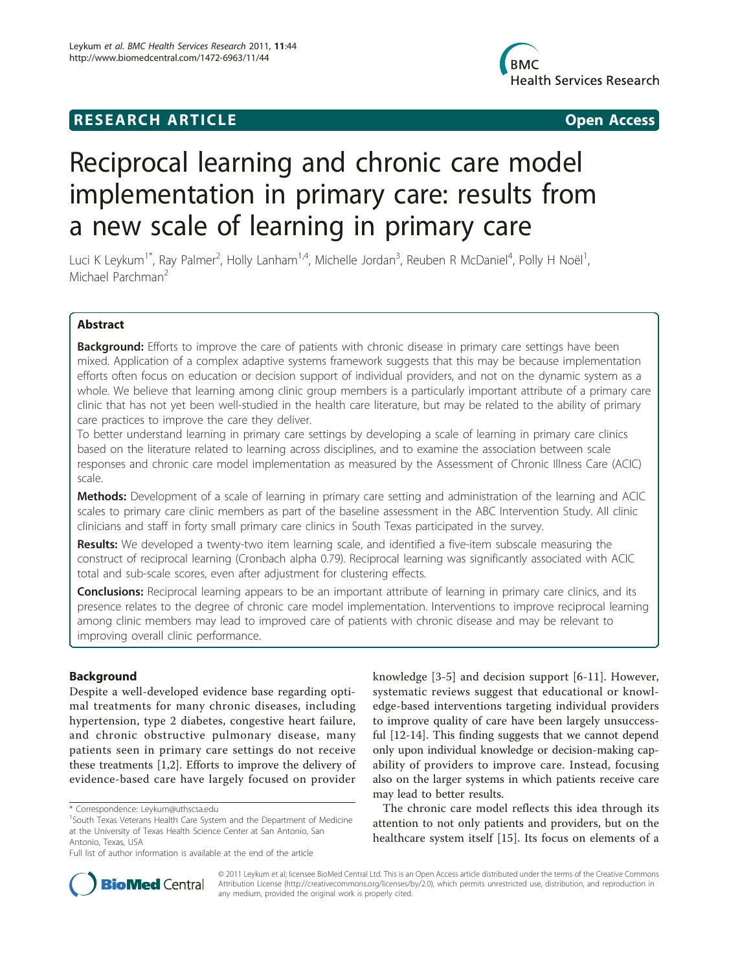# **RESEARCH ARTICLE Example 2014 CONSUMING ACCESS**



# Reciprocal learning and chronic care model implementation in primary care: results from a new scale of learning in primary care

Luci K Leykum<sup>1\*</sup>, Ray Palmer<sup>2</sup>, Holly Lanham<sup>1,4</sup>, Michelle Jordan<sup>3</sup>, Reuben R McDaniel<sup>4</sup>, Polly H Noël<sup>1</sup> , Michael Parchman<sup>2</sup>

# Abstract

**Background:** Efforts to improve the care of patients with chronic disease in primary care settings have been mixed. Application of a complex adaptive systems framework suggests that this may be because implementation efforts often focus on education or decision support of individual providers, and not on the dynamic system as a whole. We believe that learning among clinic group members is a particularly important attribute of a primary care clinic that has not yet been well-studied in the health care literature, but may be related to the ability of primary care practices to improve the care they deliver.

To better understand learning in primary care settings by developing a scale of learning in primary care clinics based on the literature related to learning across disciplines, and to examine the association between scale responses and chronic care model implementation as measured by the Assessment of Chronic Illness Care (ACIC) scale.

Methods: Development of a scale of learning in primary care setting and administration of the learning and ACIC scales to primary care clinic members as part of the baseline assessment in the ABC Intervention Study. All clinic clinicians and staff in forty small primary care clinics in South Texas participated in the survey.

Results: We developed a twenty-two item learning scale, and identified a five-item subscale measuring the construct of reciprocal learning (Cronbach alpha 0.79). Reciprocal learning was significantly associated with ACIC total and sub-scale scores, even after adjustment for clustering effects.

**Conclusions:** Reciprocal learning appears to be an important attribute of learning in primary care clinics, and its presence relates to the degree of chronic care model implementation. Interventions to improve reciprocal learning among clinic members may lead to improved care of patients with chronic disease and may be relevant to improving overall clinic performance.

# Background

Despite a well-developed evidence base regarding optimal treatments for many chronic diseases, including hypertension, type 2 diabetes, congestive heart failure, and chronic obstructive pulmonary disease, many patients seen in primary care settings do not receive these treatments [[1](#page-5-0),[2](#page-5-0)]. Efforts to improve the delivery of evidence-based care have largely focused on provider

\* Correspondence: [Leykum@uthscsa.edu](mailto:Leykum@uthscsa.edu)

knowledge [[3-5\]](#page-5-0) and decision support [[6-11](#page-5-0)]. However, systematic reviews suggest that educational or knowledge-based interventions targeting individual providers to improve quality of care have been largely unsuccessful [[12-14\]](#page-5-0). This finding suggests that we cannot depend only upon individual knowledge or decision-making capability of providers to improve care. Instead, focusing also on the larger systems in which patients receive care may lead to better results.

The chronic care model reflects this idea through its attention to not only patients and providers, but on the healthcare system itself [[15\]](#page-5-0). Its focus on elements of a



© 2011 Leykum et al; licensee BioMed Central Ltd. This is an Open Access article distributed under the terms of the Creative Commons Attribution License [\(http://creativecommons.org/licenses/by/2.0](http://creativecommons.org/licenses/by/2.0)), which permits unrestricted use, distribution, and reproduction in any medium, provided the original work is properly cited.

<sup>&</sup>lt;sup>1</sup>South Texas Veterans Health Care System and the Department of Medicine at the University of Texas Health Science Center at San Antonio, San Antonio, Texas, USA

Full list of author information is available at the end of the article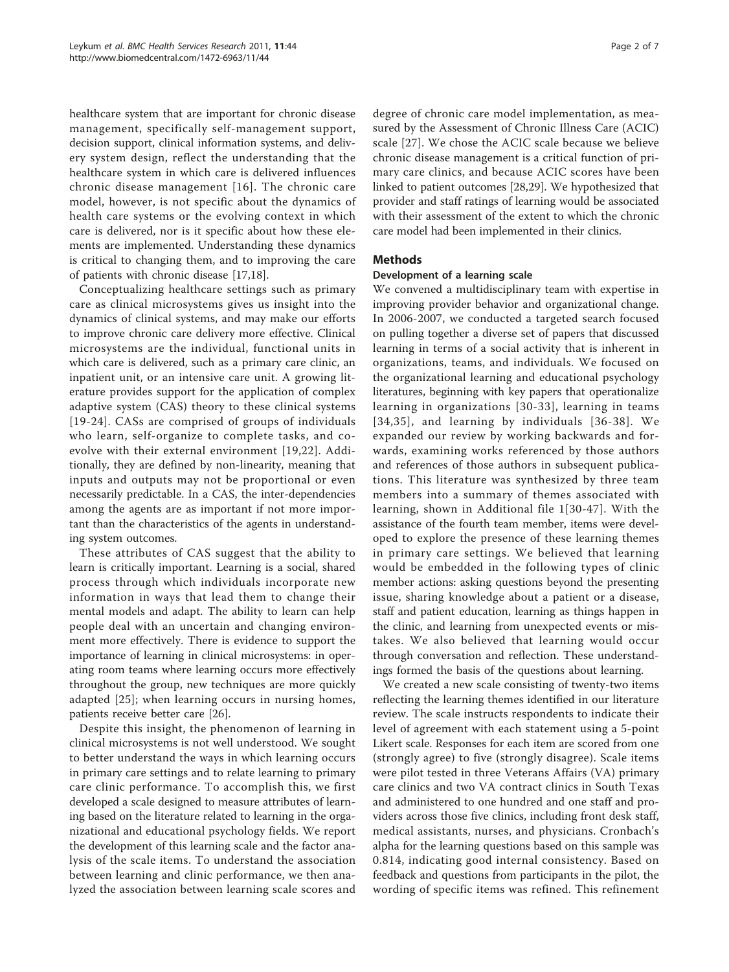healthcare system that are important for chronic disease management, specifically self-management support, decision support, clinical information systems, and delivery system design, reflect the understanding that the healthcare system in which care is delivered influences chronic disease management [[16\]](#page-5-0). The chronic care model, however, is not specific about the dynamics of health care systems or the evolving context in which care is delivered, nor is it specific about how these elements are implemented. Understanding these dynamics is critical to changing them, and to improving the care of patients with chronic disease [[17,18\]](#page-5-0).

Conceptualizing healthcare settings such as primary care as clinical microsystems gives us insight into the dynamics of clinical systems, and may make our efforts to improve chronic care delivery more effective. Clinical microsystems are the individual, functional units in which care is delivered, such as a primary care clinic, an inpatient unit, or an intensive care unit. A growing literature provides support for the application of complex adaptive system (CAS) theory to these clinical systems [[19-24\]](#page-5-0). CASs are comprised of groups of individuals who learn, self-organize to complete tasks, and coevolve with their external environment [[19,22\]](#page-5-0). Additionally, they are defined by non-linearity, meaning that inputs and outputs may not be proportional or even necessarily predictable. In a CAS, the inter-dependencies among the agents are as important if not more important than the characteristics of the agents in understanding system outcomes.

These attributes of CAS suggest that the ability to learn is critically important. Learning is a social, shared process through which individuals incorporate new information in ways that lead them to change their mental models and adapt. The ability to learn can help people deal with an uncertain and changing environment more effectively. There is evidence to support the importance of learning in clinical microsystems: in operating room teams where learning occurs more effectively throughout the group, new techniques are more quickly adapted [[25](#page-6-0)]; when learning occurs in nursing homes, patients receive better care [[26](#page-6-0)].

Despite this insight, the phenomenon of learning in clinical microsystems is not well understood. We sought to better understand the ways in which learning occurs in primary care settings and to relate learning to primary care clinic performance. To accomplish this, we first developed a scale designed to measure attributes of learning based on the literature related to learning in the organizational and educational psychology fields. We report the development of this learning scale and the factor analysis of the scale items. To understand the association between learning and clinic performance, we then analyzed the association between learning scale scores and

degree of chronic care model implementation, as measured by the Assessment of Chronic Illness Care (ACIC) scale [[27](#page-6-0)]. We chose the ACIC scale because we believe chronic disease management is a critical function of primary care clinics, and because ACIC scores have been linked to patient outcomes [[28,29\]](#page-6-0). We hypothesized that provider and staff ratings of learning would be associated with their assessment of the extent to which the chronic care model had been implemented in their clinics.

### Methods

#### Development of a learning scale

We convened a multidisciplinary team with expertise in improving provider behavior and organizational change. In 2006-2007, we conducted a targeted search focused on pulling together a diverse set of papers that discussed learning in terms of a social activity that is inherent in organizations, teams, and individuals. We focused on the organizational learning and educational psychology literatures, beginning with key papers that operationalize learning in organizations [[30-33](#page-6-0)], learning in teams [[34](#page-6-0),[35](#page-6-0)], and learning by individuals [[36-38](#page-6-0)]. We expanded our review by working backwards and forwards, examining works referenced by those authors and references of those authors in subsequent publications. This literature was synthesized by three team members into a summary of themes associated with learning, shown in Additional file [1\[](#page-5-0)[30-47\]](#page-6-0). With the assistance of the fourth team member, items were developed to explore the presence of these learning themes in primary care settings. We believed that learning would be embedded in the following types of clinic member actions: asking questions beyond the presenting issue, sharing knowledge about a patient or a disease, staff and patient education, learning as things happen in the clinic, and learning from unexpected events or mistakes. We also believed that learning would occur through conversation and reflection. These understandings formed the basis of the questions about learning.

We created a new scale consisting of twenty-two items reflecting the learning themes identified in our literature review. The scale instructs respondents to indicate their level of agreement with each statement using a 5-point Likert scale. Responses for each item are scored from one (strongly agree) to five (strongly disagree). Scale items were pilot tested in three Veterans Affairs (VA) primary care clinics and two VA contract clinics in South Texas and administered to one hundred and one staff and providers across those five clinics, including front desk staff, medical assistants, nurses, and physicians. Cronbach's alpha for the learning questions based on this sample was 0.814, indicating good internal consistency. Based on feedback and questions from participants in the pilot, the wording of specific items was refined. This refinement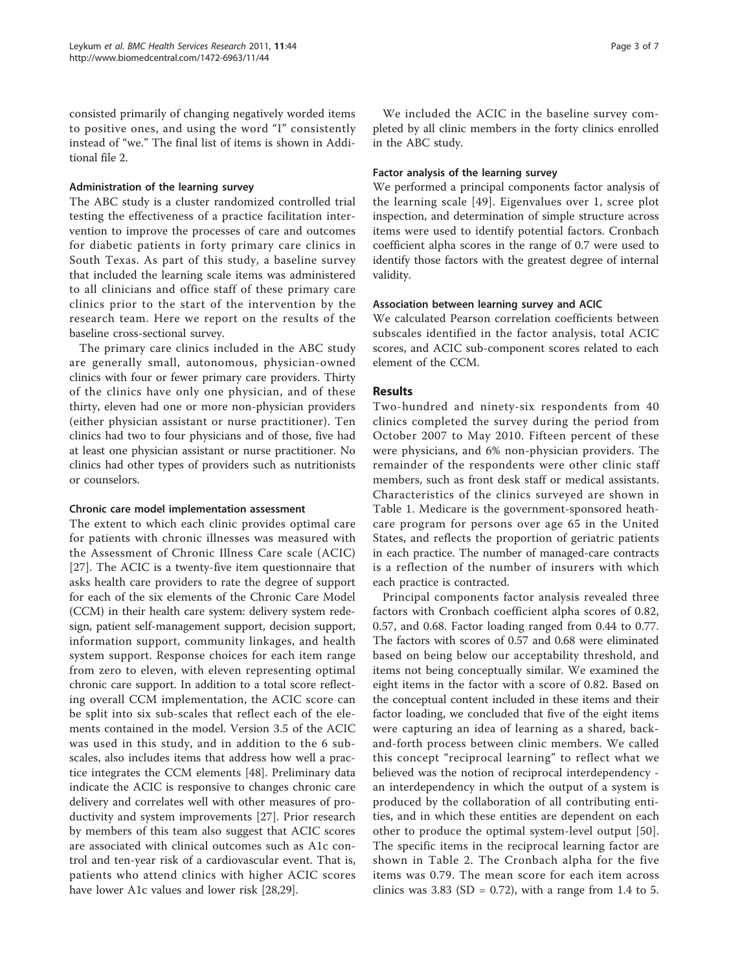consisted primarily of changing negatively worded items to positive ones, and using the word "I" consistently instead of "we." The final list of items is shown in Additional file [2](#page-5-0).

#### Administration of the learning survey

The ABC study is a cluster randomized controlled trial testing the effectiveness of a practice facilitation intervention to improve the processes of care and outcomes for diabetic patients in forty primary care clinics in South Texas. As part of this study, a baseline survey that included the learning scale items was administered to all clinicians and office staff of these primary care clinics prior to the start of the intervention by the research team. Here we report on the results of the baseline cross-sectional survey.

The primary care clinics included in the ABC study are generally small, autonomous, physician-owned clinics with four or fewer primary care providers. Thirty of the clinics have only one physician, and of these thirty, eleven had one or more non-physician providers (either physician assistant or nurse practitioner). Ten clinics had two to four physicians and of those, five had at least one physician assistant or nurse practitioner. No clinics had other types of providers such as nutritionists or counselors.

# Chronic care model implementation assessment

The extent to which each clinic provides optimal care for patients with chronic illnesses was measured with the Assessment of Chronic Illness Care scale (ACIC) [[27\]](#page-6-0). The ACIC is a twenty-five item questionnaire that asks health care providers to rate the degree of support for each of the six elements of the Chronic Care Model (CCM) in their health care system: delivery system redesign, patient self-management support, decision support, information support, community linkages, and health system support. Response choices for each item range from zero to eleven, with eleven representing optimal chronic care support. In addition to a total score reflecting overall CCM implementation, the ACIC score can be split into six sub-scales that reflect each of the elements contained in the model. Version 3.5 of the ACIC was used in this study, and in addition to the 6 subscales, also includes items that address how well a practice integrates the CCM elements [\[48](#page-6-0)]. Preliminary data indicate the ACIC is responsive to changes chronic care delivery and correlates well with other measures of productivity and system improvements [[27\]](#page-6-0). Prior research by members of this team also suggest that ACIC scores are associated with clinical outcomes such as A1c control and ten-year risk of a cardiovascular event. That is, patients who attend clinics with higher ACIC scores have lower A1c values and lower risk [[28,29\]](#page-6-0).

We included the ACIC in the baseline survey completed by all clinic members in the forty clinics enrolled in the ABC study.

#### Factor analysis of the learning survey

We performed a principal components factor analysis of the learning scale [[49](#page-6-0)]. Eigenvalues over 1, scree plot inspection, and determination of simple structure across items were used to identify potential factors. Cronbach coefficient alpha scores in the range of 0.7 were used to identify those factors with the greatest degree of internal validity.

### Association between learning survey and ACIC

We calculated Pearson correlation coefficients between subscales identified in the factor analysis, total ACIC scores, and ACIC sub-component scores related to each element of the CCM.

# Results

Two-hundred and ninety-six respondents from 40 clinics completed the survey during the period from October 2007 to May 2010. Fifteen percent of these were physicians, and 6% non-physician providers. The remainder of the respondents were other clinic staff members, such as front desk staff or medical assistants. Characteristics of the clinics surveyed are shown in Table [1.](#page-3-0) Medicare is the government-sponsored heathcare program for persons over age 65 in the United States, and reflects the proportion of geriatric patients in each practice. The number of managed-care contracts is a reflection of the number of insurers with which each practice is contracted.

Principal components factor analysis revealed three factors with Cronbach coefficient alpha scores of 0.82, 0.57, and 0.68. Factor loading ranged from 0.44 to 0.77. The factors with scores of 0.57 and 0.68 were eliminated based on being below our acceptability threshold, and items not being conceptually similar. We examined the eight items in the factor with a score of 0.82. Based on the conceptual content included in these items and their factor loading, we concluded that five of the eight items were capturing an idea of learning as a shared, backand-forth process between clinic members. We called this concept "reciprocal learning" to reflect what we believed was the notion of reciprocal interdependency an interdependency in which the output of a system is produced by the collaboration of all contributing entities, and in which these entities are dependent on each other to produce the optimal system-level output [[50](#page-6-0)]. The specific items in the reciprocal learning factor are shown in Table [2](#page-3-0). The Cronbach alpha for the five items was 0.79. The mean score for each item across clinics was 3.83 (SD = 0.72), with a range from 1.4 to 5.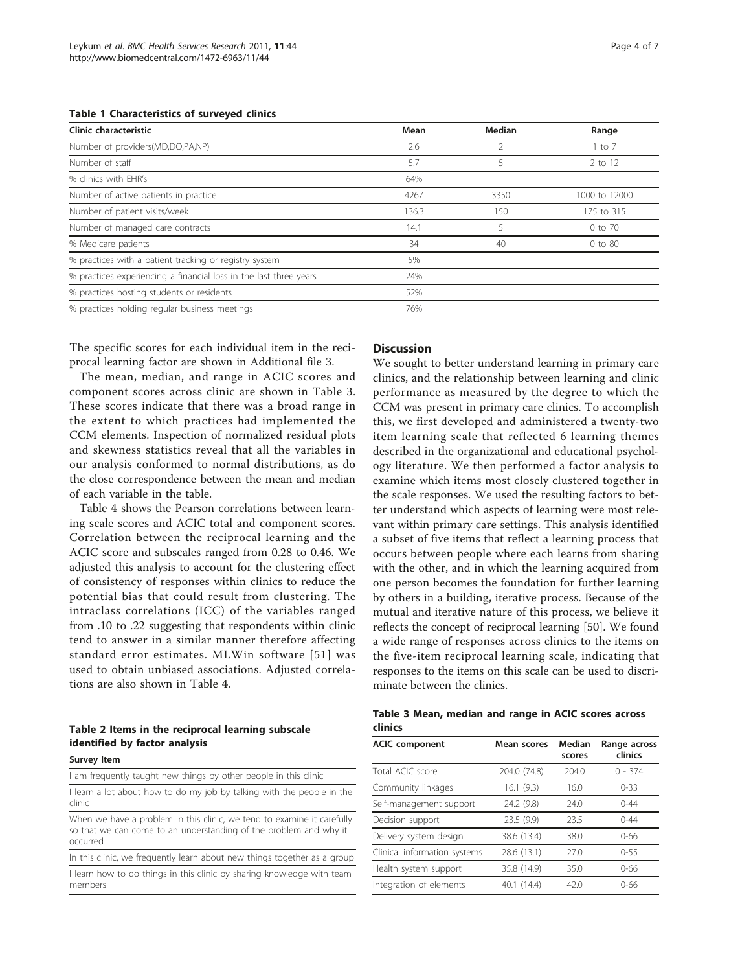<span id="page-3-0"></span>Table 1 Characteristics of surveyed clinics

| Clinic characteristic                                             | Mean  | Median | Range         |
|-------------------------------------------------------------------|-------|--------|---------------|
| Number of providers(MD,DO,PA,NP)                                  | 2.6   |        | $1$ to $7$    |
| Number of staff                                                   | 5.7   | 5      | 2 to 12       |
| % clinics with EHR's                                              | 64%   |        |               |
| Number of active patients in practice                             | 4267  | 3350   | 1000 to 12000 |
| Number of patient visits/week                                     | 136.3 | 150    | 175 to 315    |
| Number of managed care contracts                                  | 14.1  | 5      | 0 to 70       |
| % Medicare patients                                               | 34    | 40     | 0 to 80       |
| % practices with a patient tracking or registry system            | 5%    |        |               |
| % practices experiencing a financial loss in the last three years | 24%   |        |               |
| % practices hosting students or residents                         | 52%   |        |               |
| % practices holding regular business meetings                     | 76%   |        |               |

The specific scores for each individual item in the reciprocal learning factor are shown in Additional file [3](#page-5-0).

The mean, median, and range in ACIC scores and component scores across clinic are shown in Table 3. These scores indicate that there was a broad range in the extent to which practices had implemented the CCM elements. Inspection of normalized residual plots and skewness statistics reveal that all the variables in our analysis conformed to normal distributions, as do the close correspondence between the mean and median of each variable in the table.

Table [4](#page-4-0) shows the Pearson correlations between learning scale scores and ACIC total and component scores. Correlation between the reciprocal learning and the ACIC score and subscales ranged from 0.28 to 0.46. We adjusted this analysis to account for the clustering effect of consistency of responses within clinics to reduce the potential bias that could result from clustering. The intraclass correlations (ICC) of the variables ranged from .10 to .22 suggesting that respondents within clinic tend to answer in a similar manner therefore affecting standard error estimates. MLWin software [[51](#page-6-0)] was used to obtain unbiased associations. Adjusted correlations are also shown in Table [4](#page-4-0).

# Table 2 Items in the reciprocal learning subscale identified by factor analysis

| <b>Survey Item</b>                                                                                                                                      |
|---------------------------------------------------------------------------------------------------------------------------------------------------------|
| I am frequently taught new things by other people in this clinic                                                                                        |
| I learn a lot about how to do my job by talking with the people in the<br>clinic                                                                        |
| When we have a problem in this clinic, we tend to examine it carefully<br>so that we can come to an understanding of the problem and why it<br>occurred |
| In this clinic, we frequently learn about new things together as a group                                                                                |
| I learn how to do things in this clinic by sharing knowledge with team<br>members                                                                       |
|                                                                                                                                                         |

#### **Discussion**

We sought to better understand learning in primary care clinics, and the relationship between learning and clinic performance as measured by the degree to which the CCM was present in primary care clinics. To accomplish this, we first developed and administered a twenty-two item learning scale that reflected 6 learning themes described in the organizational and educational psychology literature. We then performed a factor analysis to examine which items most closely clustered together in the scale responses. We used the resulting factors to better understand which aspects of learning were most relevant within primary care settings. This analysis identified a subset of five items that reflect a learning process that occurs between people where each learns from sharing with the other, and in which the learning acquired from one person becomes the foundation for further learning by others in a building, iterative process. Because of the mutual and iterative nature of this process, we believe it reflects the concept of reciprocal learning [[50\]](#page-6-0). We found a wide range of responses across clinics to the items on the five-item reciprocal learning scale, indicating that responses to the items on this scale can be used to discriminate between the clinics.

| Table 3 Mean, median and range in ACIC scores across |  |  |  |  |
|------------------------------------------------------|--|--|--|--|
| clinics                                              |  |  |  |  |

| Mean scores  | Median<br>scores | Range across<br>clinics |
|--------------|------------------|-------------------------|
| 204.0 (74.8) | 204.0            | $0 - 374$               |
| 16.1(9.3)    | 16.0             | $0 - 33$                |
| 24.2 (9.8)   | 74.0             | $0 - 44$                |
| 23.5 (9.9)   | 23.5             | $0 - 44$                |
| 38.6 (13.4)  | 38.0             | $0 - 66$                |
| 28.6 (13.1)  | 27.0             | $0 - 55$                |
| 35.8 (14.9)  | 35.0             | $0 - 66$                |
| 40.1 (14.4)  | 42.0             | $0 - 66$                |
|              |                  |                         |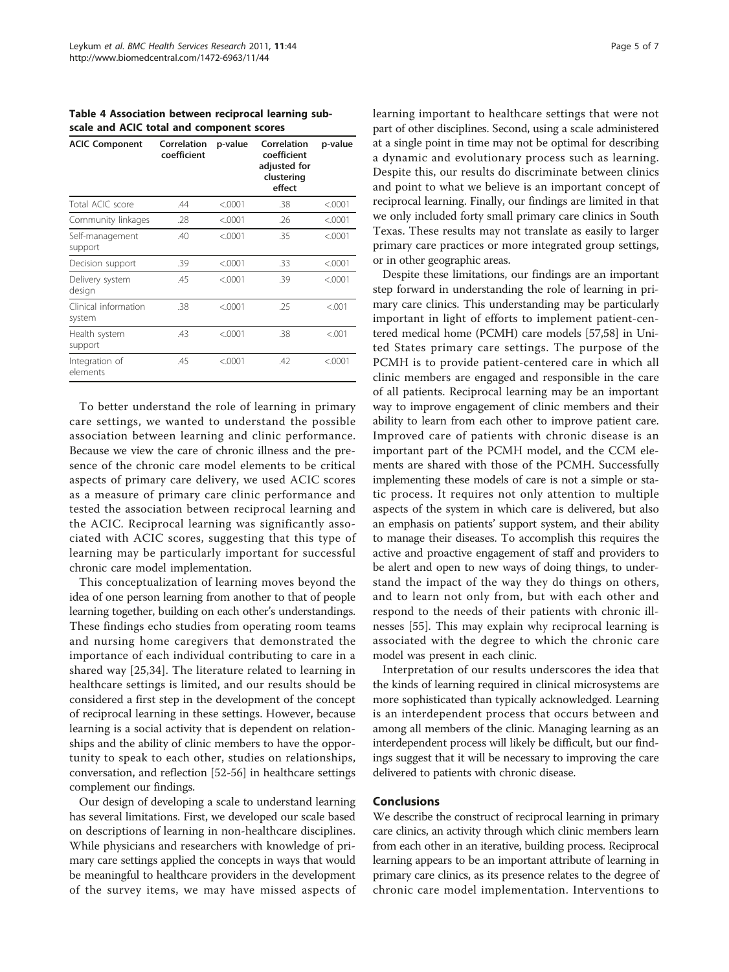<span id="page-4-0"></span>Table 4 Association between reciprocal learning subscale and ACIC total and component scores

| <b>ACIC Component</b>          | Correlation<br>coefficient | p-value | Correlation<br>coefficient<br>adjusted for<br>clustering<br>effect | p-value  |
|--------------------------------|----------------------------|---------|--------------------------------------------------------------------|----------|
| Total ACIC score               | .44                        | < .0001 | .38                                                                | < .0001  |
| Community linkages             | .28                        | < .0001 | .26                                                                | < .0001  |
| Self-management<br>support     | .40                        | < .0001 | .35                                                                | < 0.0001 |
| Decision support               | .39                        | < .0001 | .33                                                                | < .0001  |
| Delivery system<br>design      | .45                        | < .0001 | .39                                                                | < .0001  |
| Clinical information<br>system | .38                        | < .0001 | .25                                                                | < 0.001  |
| Health system<br>support       | .43                        | < .0001 | .38                                                                | < 0.001  |
| Integration of<br>elements     | .45                        | < .0001 | .42                                                                | < .0001  |

To better understand the role of learning in primary care settings, we wanted to understand the possible association between learning and clinic performance. Because we view the care of chronic illness and the presence of the chronic care model elements to be critical aspects of primary care delivery, we used ACIC scores as a measure of primary care clinic performance and tested the association between reciprocal learning and the ACIC. Reciprocal learning was significantly associated with ACIC scores, suggesting that this type of learning may be particularly important for successful chronic care model implementation.

This conceptualization of learning moves beyond the idea of one person learning from another to that of people learning together, building on each other's understandings. These findings echo studies from operating room teams and nursing home caregivers that demonstrated the importance of each individual contributing to care in a shared way [[25,34](#page-6-0)]. The literature related to learning in healthcare settings is limited, and our results should be considered a first step in the development of the concept of reciprocal learning in these settings. However, because learning is a social activity that is dependent on relationships and the ability of clinic members to have the opportunity to speak to each other, studies on relationships, conversation, and reflection [\[52](#page-6-0)-[56](#page-6-0)] in healthcare settings complement our findings.

Our design of developing a scale to understand learning has several limitations. First, we developed our scale based on descriptions of learning in non-healthcare disciplines. While physicians and researchers with knowledge of primary care settings applied the concepts in ways that would be meaningful to healthcare providers in the development of the survey items, we may have missed aspects of learning important to healthcare settings that were not part of other disciplines. Second, using a scale administered at a single point in time may not be optimal for describing a dynamic and evolutionary process such as learning. Despite this, our results do discriminate between clinics and point to what we believe is an important concept of reciprocal learning. Finally, our findings are limited in that we only included forty small primary care clinics in South Texas. These results may not translate as easily to larger primary care practices or more integrated group settings, or in other geographic areas.

Despite these limitations, our findings are an important step forward in understanding the role of learning in primary care clinics. This understanding may be particularly important in light of efforts to implement patient-centered medical home (PCMH) care models [\[57,58\]](#page-6-0) in United States primary care settings. The purpose of the PCMH is to provide patient-centered care in which all clinic members are engaged and responsible in the care of all patients. Reciprocal learning may be an important way to improve engagement of clinic members and their ability to learn from each other to improve patient care. Improved care of patients with chronic disease is an important part of the PCMH model, and the CCM elements are shared with those of the PCMH. Successfully implementing these models of care is not a simple or static process. It requires not only attention to multiple aspects of the system in which care is delivered, but also an emphasis on patients' support system, and their ability to manage their diseases. To accomplish this requires the active and proactive engagement of staff and providers to be alert and open to new ways of doing things, to understand the impact of the way they do things on others, and to learn not only from, but with each other and respond to the needs of their patients with chronic illnesses [\[55](#page-6-0)]. This may explain why reciprocal learning is associated with the degree to which the chronic care model was present in each clinic.

Interpretation of our results underscores the idea that the kinds of learning required in clinical microsystems are more sophisticated than typically acknowledged. Learning is an interdependent process that occurs between and among all members of the clinic. Managing learning as an interdependent process will likely be difficult, but our findings suggest that it will be necessary to improving the care delivered to patients with chronic disease.

#### Conclusions

We describe the construct of reciprocal learning in primary care clinics, an activity through which clinic members learn from each other in an iterative, building process. Reciprocal learning appears to be an important attribute of learning in primary care clinics, as its presence relates to the degree of chronic care model implementation. Interventions to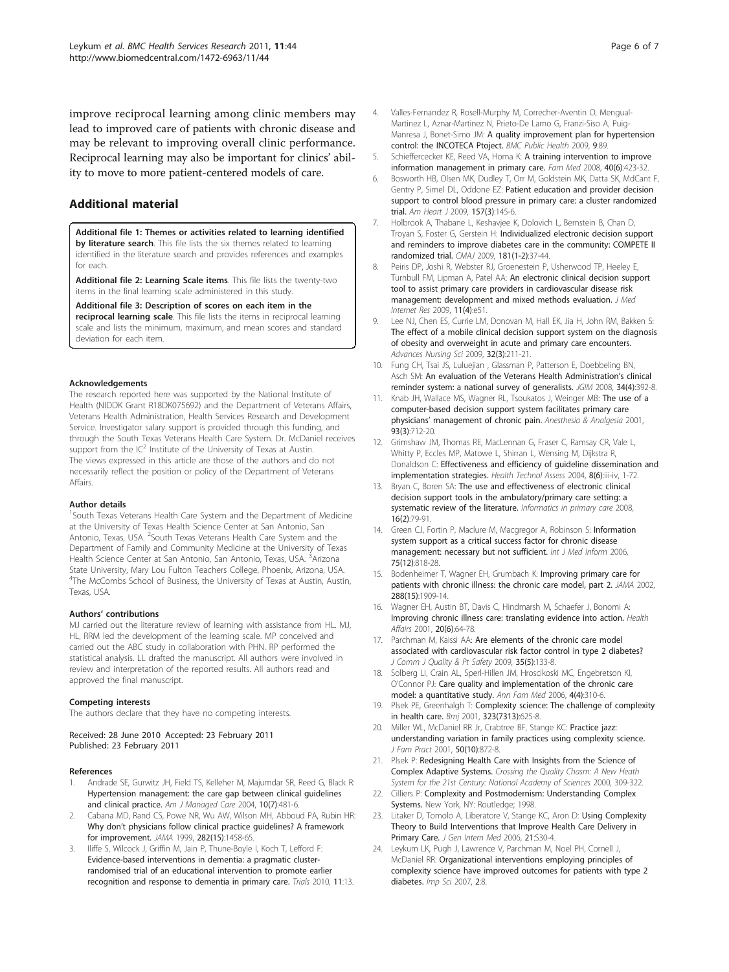<span id="page-5-0"></span>improve reciprocal learning among clinic members may lead to improved care of patients with chronic disease and may be relevant to improving overall clinic performance. Reciprocal learning may also be important for clinics' ability to move to more patient-centered models of care.

# Additional material

[Additional file 1: T](http://www.biomedcentral.com/content/supplementary/1472-6963-11-44-S1.DOC)hemes or activities related to learning identified by literature search. This file lists the six themes related to learning identified in the literature search and provides references and examples for each.

[Additional file 2: L](http://www.biomedcentral.com/content/supplementary/1472-6963-11-44-S2.DOC)earning Scale items. This file lists the twenty-two items in the final learning scale administered in this study.

[Additional file 3: D](http://www.biomedcentral.com/content/supplementary/1472-6963-11-44-S3.DOC)escription of scores on each item in the reciprocal learning scale. This file lists the items in reciprocal learning scale and lists the minimum, maximum, and mean scores and standard deviation for each item.

#### Acknowledgements

The research reported here was supported by the National Institute of Health (NIDDK Grant R18DK075692) and the Department of Veterans Affairs, Veterans Health Administration, Health Services Research and Development Service. Investigator salary support is provided through this funding, and through the South Texas Veterans Health Care System. Dr. McDaniel receives support from the  $IC^2$  Institute of the University of Texas at Austin. The views expressed in this article are those of the authors and do not necessarily reflect the position or policy of the Department of Veterans Affairs.

#### Author details

<sup>1</sup>South Texas Veterans Health Care System and the Department of Medicine at the University of Texas Health Science Center at San Antonio, San Antonio, Texas, USA. <sup>2</sup>South Texas Veterans Health Care System and the Department of Family and Community Medicine at the University of Texas Health Science Center at San Antonio, San Antonio, Texas, USA. <sup>3</sup>Arizona State University, Mary Lou Fulton Teachers College, Phoenix, Arizona, USA. 4 The McCombs School of Business, the University of Texas at Austin, Austin, Texas, USA.

#### Authors' contributions

MJ carried out the literature review of learning with assistance from HL. MJ, HL, RRM led the development of the learning scale. MP conceived and carried out the ABC study in collaboration with PHN. RP performed the statistical analysis. LL drafted the manuscript. All authors were involved in review and interpretation of the reported results. All authors read and approved the final manuscript.

#### Competing interests

The authors declare that they have no competing interests.

Received: 28 June 2010 Accepted: 23 February 2011 Published: 23 February 2011

#### References

- 1. Andrade SE, Gurwitz JH, Field TS, Kelleher M, Majumdar SR, Reed G, Black R: Hypertension management: the care gap between clinical guidelines and clinical practice. Am J Managed Care 2004, 10(7):481-6.
- 2. Cabana MD, Rand CS, Powe NR, Wu AW, Wilson MH, Abboud PA, Rubin HR: Why don'[t physicians follow clinical practice guidelines? A framework](http://www.ncbi.nlm.nih.gov/pubmed/10535437?dopt=Abstract) [for improvement.](http://www.ncbi.nlm.nih.gov/pubmed/10535437?dopt=Abstract) JAMA 1999, 282(15):1458-65.
- Iliffe S, Wilcock J, Griffin M, Jain P, Thune-Boyle I, Koch T, Lefford F: [Evidence-based interventions in dementia: a pragmatic cluster](http://www.ncbi.nlm.nih.gov/pubmed/20146803?dopt=Abstract)[randomised trial of an educational intervention to promote earlier](http://www.ncbi.nlm.nih.gov/pubmed/20146803?dopt=Abstract) [recognition and response to dementia in primary care.](http://www.ncbi.nlm.nih.gov/pubmed/20146803?dopt=Abstract) Trials 2010, 11:13.
- 4. Valles-Fernandez R, Rosell-Murphy M, Correcher-Aventin O, Mengual-Martinez L, Aznar-Martinez N, Prieto-De Lamo G, Franzi-Siso A, Puig-Manresa J, Bonet-Simo JM: [A quality improvement plan for hypertension](http://www.ncbi.nlm.nih.gov/pubmed/19321009?dopt=Abstract) [control: the INCOTECA Ptoject.](http://www.ncbi.nlm.nih.gov/pubmed/19321009?dopt=Abstract) BMC Public Health 2009, 9:89.
- 5. Schieffercecker KE, Reed VA, Homa K: [A training intervention to improve](http://www.ncbi.nlm.nih.gov/pubmed/18773781?dopt=Abstract) [information management in primary care.](http://www.ncbi.nlm.nih.gov/pubmed/18773781?dopt=Abstract) Fam Med 2008, 40(6):423-32.
- 6. Bosworth HB, Olsen MK, Dudley T, Orr M, Goldstein MK, Datta SK, MdCant F, Gentry P, Simel DL, Oddone EZ: Patient education and provider decision support to control blood pressure in primary care: a cluster randomized trial. Am Heart J 2009, 157(3):145-6.
- 7. Holbrook A, Thabane L, Keshavjee K, Dolovich L, Bernstein B, Chan D, Troyan S, Foster G, Gerstein H: [Individualized electronic decision support](http://www.ncbi.nlm.nih.gov/pubmed/19581618?dopt=Abstract) [and reminders to improve diabetes care in the community: COMPETE II](http://www.ncbi.nlm.nih.gov/pubmed/19581618?dopt=Abstract) [randomized trial.](http://www.ncbi.nlm.nih.gov/pubmed/19581618?dopt=Abstract) CMAJ 2009, 181(1-2):37-44.
- 8. Peiris DP, Joshi R, Webster RJ, Groenestein P, Usherwood TP, Heeley E, Turnbull FM, Lipman A, Patel AA: [An electronic clinical decision support](http://www.ncbi.nlm.nih.gov/pubmed/20018588?dopt=Abstract) [tool to assist primary care providers in cardiovascular disease risk](http://www.ncbi.nlm.nih.gov/pubmed/20018588?dopt=Abstract) [management: development and mixed methods evaluation.](http://www.ncbi.nlm.nih.gov/pubmed/20018588?dopt=Abstract) J Med Internet Res 2009, 11(4):e51.
- 9. Lee NJ, Chen ES, Currie LM, Donovan M, Hall EK, Jia H, John RM, Bakken S: The effect of a mobile clinical decision support system on the diagnosis of obesity and overweight in acute and primary care encounters. Advances Nursing Sci 2009, 32(3):211-21.
- 10. Fung CH, Tsai JS, Luluejian , Glassman P, Patterson E, Doebbeling BN, Asch SM: An evaluation of the Veterans Health Administration's clinical reminder system: a national survey of generalists. JGIM 2008, 34(4):392-8.
- 11. Knab JH, Wallace MS, Wagner RL, Tsoukatos J, Weinger MB: The use of a computer-based decision support system facilitates primary care physicians' management of chronic pain. Anesthesia & Analgesia 2001, 93(3):712-20.
- 12. Grimshaw JM, Thomas RE, MacLennan G, Fraser C, Ramsay CR, Vale L, Whitty P, Eccles MP, Matowe L, Shirran L, Wensing M, Dijkstra R, Donaldson C: [Effectiveness and efficiency of guideline dissemination and](http://www.ncbi.nlm.nih.gov/pubmed/14960256?dopt=Abstract) [implementation strategies.](http://www.ncbi.nlm.nih.gov/pubmed/14960256?dopt=Abstract) Health Technol Assess 2004, 8(6):iii-iv, 1-72.
- 13. Bryan C, Boren SA: [The use and effectiveness of electronic clinical](http://www.ncbi.nlm.nih.gov/pubmed/18713524?dopt=Abstract) [decision support tools in the ambulatory/primary care setting: a](http://www.ncbi.nlm.nih.gov/pubmed/18713524?dopt=Abstract) [systematic review of the literature.](http://www.ncbi.nlm.nih.gov/pubmed/18713524?dopt=Abstract) Informatics in primary care 2008, 16(2):79-91.
- 14. Green CJ, Fortin P, Maclure M, Macgregor A, Robinson S: [Information](http://www.ncbi.nlm.nih.gov/pubmed/16920013?dopt=Abstract) [system support as a critical success factor for chronic disease](http://www.ncbi.nlm.nih.gov/pubmed/16920013?dopt=Abstract) [management: necessary but not sufficient.](http://www.ncbi.nlm.nih.gov/pubmed/16920013?dopt=Abstract) Int J Med Inform 2006, 75(12):818-28.
- 15. Bodenheimer T, Wagner EH, Grumbach K: [Improving primary care for](http://www.ncbi.nlm.nih.gov/pubmed/12377092?dopt=Abstract) [patients with chronic illness: the chronic care model, part 2.](http://www.ncbi.nlm.nih.gov/pubmed/12377092?dopt=Abstract) JAMA 2002, 288(15):1909-14.
- 16. Wagner EH, Austin BT, Davis C, Hindmarsh M, Schaefer J, Bonomi A: [Improving chronic illness care: translating evidence into action.](http://www.ncbi.nlm.nih.gov/pubmed/11816692?dopt=Abstract) Health Affairs 2001, 20(6):64-78.
- 17. Parchman M, Kaissi AA: Are elements of the chronic care model associated with cardiovascular risk factor control in type 2 diabetes? J Comm J Quality & Pt Safety 2009, 35(5):133-8.
- 18. Solberg LI, Crain AL, Sperl-Hillen JM, Hroscikoski MC, Engebretson KI, O'Connor PJ: [Care quality and implementation of the chronic care](http://www.ncbi.nlm.nih.gov/pubmed/16868234?dopt=Abstract) [model: a quantitative study.](http://www.ncbi.nlm.nih.gov/pubmed/16868234?dopt=Abstract) Ann Fam Med 2006, 4(4):310-6.
- 19. Plsek PE, Greenhalgh T: [Complexity science: The challenge of complexity](http://www.ncbi.nlm.nih.gov/pubmed/11557716?dopt=Abstract) [in health care.](http://www.ncbi.nlm.nih.gov/pubmed/11557716?dopt=Abstract) Bmj 2001, 323(7313):625-8.
- 20. Miller WL, McDaniel RR Jr, Crabtree BF, Stange KC: [Practice jazz:](http://www.ncbi.nlm.nih.gov/pubmed/11674890?dopt=Abstract) [understanding variation in family practices using complexity science.](http://www.ncbi.nlm.nih.gov/pubmed/11674890?dopt=Abstract) J Fam Pract 2001, 50(10):872-8.
- 21. Plsek P: Redesigning Health Care with Insights from the Science of Complex Adaptive Systems. Crossing the Quality Chasm: A New Heath System for the 21st Century: National Academy of Sciences 2000, 309-322.
- 22. Cilliers P: Complexity and Postmodernism: Understanding Complex Systems. New York, NY: Routledge: 1998.
- 23. Litaker D, Tomolo A, Liberatore V, Stange KC, Aron D: [Using Complexity](http://www.ncbi.nlm.nih.gov/pubmed/16637958?dopt=Abstract) [Theory to Build Interventions that Improve Health Care Delivery in](http://www.ncbi.nlm.nih.gov/pubmed/16637958?dopt=Abstract) [Primary Care.](http://www.ncbi.nlm.nih.gov/pubmed/16637958?dopt=Abstract) J Gen Intern Med 2006, 21:S30-4.
- 24. Leykum LK, Pugh J, Lawrence V, Parchman M, Noel PH, Cornell J, McDaniel RR: Organizational interventions employing principles of complexity science have improved outcomes for patients with type 2 diabetes. Imp Sci 2007, 2:8.